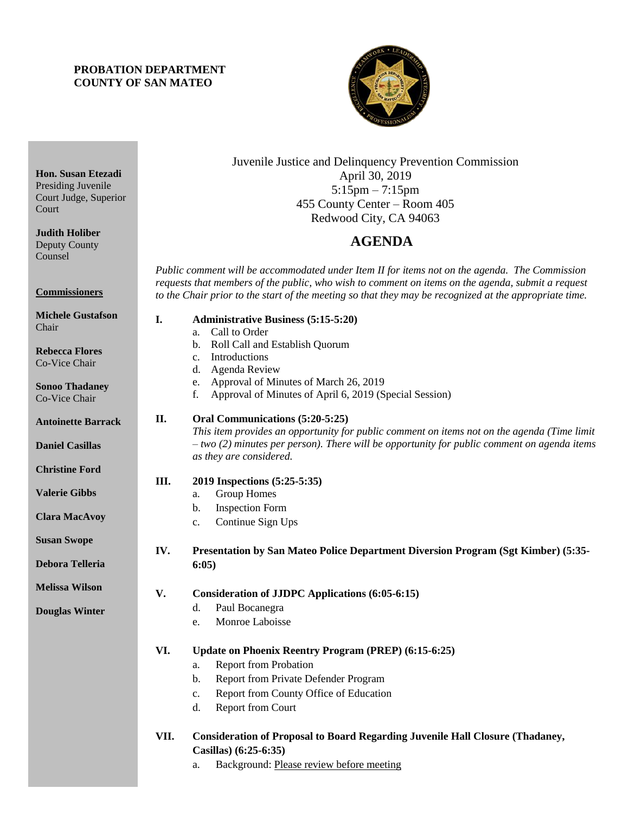## **PROBATION DEPARTMENT COUNTY OF SAN MATEO**



# Juvenile Justice and Delinquency Prevention Commission April 30, 2019 5:15pm – 7:15pm 455 County Center – Room 405 Redwood City, CA 94063

# 4B**AGENDA**

*Public comment will be accommodated under Item II for items not on the agenda. The Commission requests that members of the public, who wish to comment on items on the agenda, submit a request to the Chair prior to the start of the meeting so that they may be recognized at the appropriate time.* 

#### **I. Administrative Business (5:15-5:20)** a. Call to Order

- b. Roll Call and Establish Quorum
- c. Introductions
- d. Agenda Review
- e. Approval of Minutes of March 26, 2019
- f. Approval of Minutes of April 6, 2019 (Special Session)

## **II. Oral Communications (5:20-5:25)**

*This item provides an opportunity for public comment on items not on the agenda (Time limit – two (2) minutes per person). There will be opportunity for public comment on agenda items as they are considered.*

## **III. 2019 Inspections (5:25-5:35)**

- a. Group Homes
- b. Inspection Form
- c. Continue Sign Ups

### **IV. Presentation by San Mateo Police Department Diversion Program (Sgt Kimber) (5:35- 6:05)**

- **V. Consideration of JJDPC Applications (6:05-6:15)**
	- d. Paul Bocanegra
		- e. Monroe Laboisse

### **VI. Update on Phoenix Reentry Program (PREP) (6:15-6:25)**

- a. Report from Probation
- b. Report from Private Defender Program
- c. Report from County Office of Education
- d. Report from Court

### **VII. Consideration of Proposal to Board Regarding Juvenile Hall Closure (Thadaney, Casillas) (6:25-6:35)**

a. Background: Please review before meeting

**Hon. Susan Etezadi** Presiding Juvenile Court Judge, Superior Court

**Judith Holiber** Deputy County Counsel

**Commissioners**

**Michele Gustafson** Chair

**Rebecca Flores** Co-Vice Chair

**Sonoo Thadaney** Co-Vice Chair

**Antoinette Barrack**

**Daniel Casillas**

**Christine Ford**

**Valerie Gibbs**

**Clara MacAvoy**

**Susan Swope**

**Debora Telleria**

**Melissa Wilson**

**Douglas Winter**